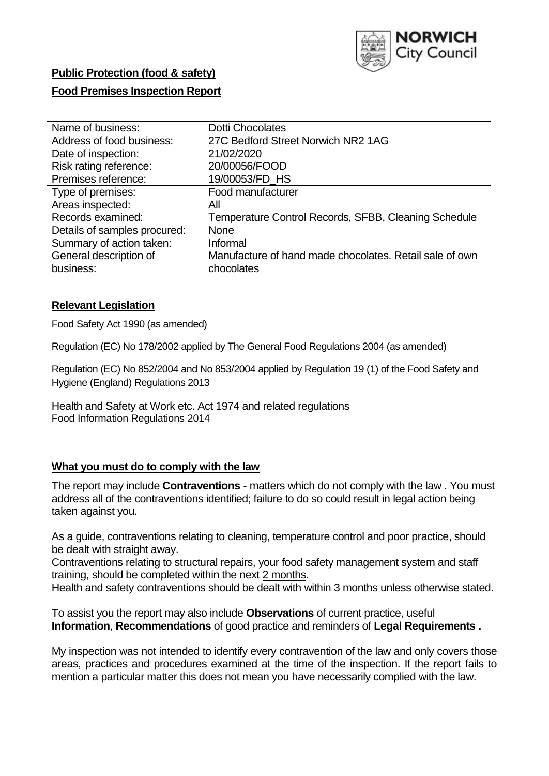

# **Public Protection (food & safety)**

# **Food Premises Inspection Report**

| Name of business:            | <b>Dotti Chocolates</b>                                 |
|------------------------------|---------------------------------------------------------|
| Address of food business:    | 27C Bedford Street Norwich NR2 1AG                      |
| Date of inspection:          | 21/02/2020                                              |
| Risk rating reference:       | 20/00056/FOOD                                           |
| Premises reference:          | 19/00053/FD HS                                          |
| Type of premises:            | Food manufacturer                                       |
| Areas inspected:             | All                                                     |
| Records examined:            | Temperature Control Records, SFBB, Cleaning Schedule    |
| Details of samples procured: | <b>None</b>                                             |
| Summary of action taken:     | Informal                                                |
| General description of       | Manufacture of hand made chocolates. Retail sale of own |
| business:                    | chocolates                                              |

## **Relevant Legislation**

Food Safety Act 1990 (as amended)

Regulation (EC) No 178/2002 applied by The General Food Regulations 2004 (as amended)

Regulation (EC) No 852/2004 and No 853/2004 applied by Regulation 19 (1) of the Food Safety and Hygiene (England) Regulations 2013

Health and Safety at Work etc. Act 1974 and related regulations Food Information Regulations 2014

## **What you must do to comply with the law**

The report may include **Contraventions** - matters which do not comply with the law . You must address all of the contraventions identified; failure to do so could result in legal action being taken against you.

As a guide, contraventions relating to cleaning, temperature control and poor practice, should be dealt with straight away.

Contraventions relating to structural repairs, your food safety management system and staff training, should be completed within the next 2 months.

Health and safety contraventions should be dealt with within 3 months unless otherwise stated.

To assist you the report may also include **Observations** of current practice, useful **Information**, **Recommendations** of good practice and reminders of **Legal Requirements .**

My inspection was not intended to identify every contravention of the law and only covers those areas, practices and procedures examined at the time of the inspection. If the report fails to mention a particular matter this does not mean you have necessarily complied with the law.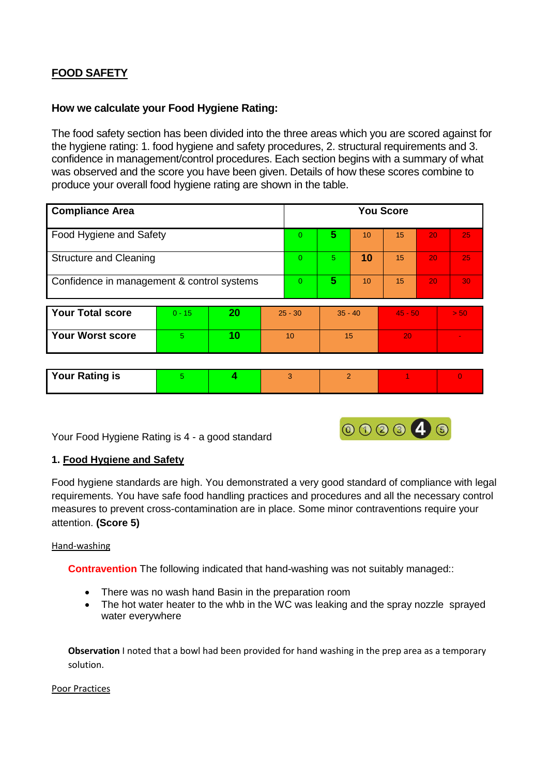# **FOOD SAFETY**

# **How we calculate your Food Hygiene Rating:**

The food safety section has been divided into the three areas which you are scored against for the hygiene rating: 1. food hygiene and safety procedures, 2. structural requirements and 3. confidence in management/control procedures. Each section begins with a summary of what was observed and the score you have been given. Details of how these scores combine to produce your overall food hygiene rating are shown in the table.

| <b>Compliance Area</b>                     |          |    |           | <b>You Score</b> |               |    |           |    |          |
|--------------------------------------------|----------|----|-----------|------------------|---------------|----|-----------|----|----------|
| Food Hygiene and Safety                    |          |    |           | $\Omega$         | 5             | 10 | 15        | 20 | 25       |
| <b>Structure and Cleaning</b>              |          |    |           | $\Omega$         | 5.            | 10 | 15        | 20 | 25       |
| Confidence in management & control systems |          |    | $\Omega$  | 5                | 10            | 15 | 20        | 30 |          |
| <b>Your Total score</b>                    | $0 - 15$ | 20 | $25 - 30$ |                  | $35 - 40$     |    | $45 - 50$ |    | > 50     |
| <b>Your Worst score</b>                    | 5        | 10 | 10        |                  | 15            |    | 20        |    |          |
|                                            |          |    |           |                  |               |    |           |    |          |
| <b>Your Rating is</b>                      | 5.       | 4  |           | 3                | $\mathcal{P}$ |    |           |    | $\Omega$ |

Your Food Hygiene Rating is 4 - a good standard



### **1. Food Hygiene and Safety**

Food hygiene standards are high. You demonstrated a very good standard of compliance with legal requirements. You have safe food handling practices and procedures and all the necessary control measures to prevent cross-contamination are in place. Some minor contraventions require your attention. **(Score 5)**

#### Hand-washing

**Contravention** The following indicated that hand-washing was not suitably managed::

- There was no wash hand Basin in the preparation room
- The hot water heater to the whb in the WC was leaking and the spray nozzle sprayed water everywhere

**Observation** I noted that a bowl had been provided for hand washing in the prep area as a temporary solution.

#### Poor Practices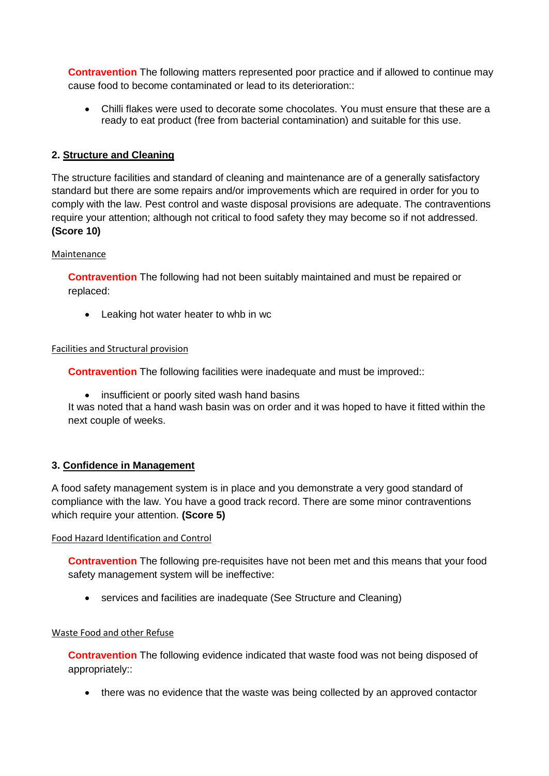**Contravention** The following matters represented poor practice and if allowed to continue may cause food to become contaminated or lead to its deterioration::

 Chilli flakes were used to decorate some chocolates. You must ensure that these are a ready to eat product (free from bacterial contamination) and suitable for this use.

### **2. Structure and Cleaning**

The structure facilities and standard of cleaning and maintenance are of a generally satisfactory standard but there are some repairs and/or improvements which are required in order for you to comply with the law. Pest control and waste disposal provisions are adequate. The contraventions require your attention; although not critical to food safety they may become so if not addressed. **(Score 10)**

#### Maintenance

**Contravention** The following had not been suitably maintained and must be repaired or replaced:

• Leaking hot water heater to whb in wc

### Facilities and Structural provision

**Contravention** The following facilities were inadequate and must be improved::

• insufficient or poorly sited wash hand basins

It was noted that a hand wash basin was on order and it was hoped to have it fitted within the next couple of weeks.

### **3. Confidence in Management**

A food safety management system is in place and you demonstrate a very good standard of compliance with the law. You have a good track record. There are some minor contraventions which require your attention. **(Score 5)**

#### Food Hazard Identification and Control

**Contravention** The following pre-requisites have not been met and this means that your food safety management system will be ineffective:

• services and facilities are inadequate (See Structure and Cleaning)

### Waste Food and other Refuse

**Contravention** The following evidence indicated that waste food was not being disposed of appropriately::

• there was no evidence that the waste was being collected by an approved contactor